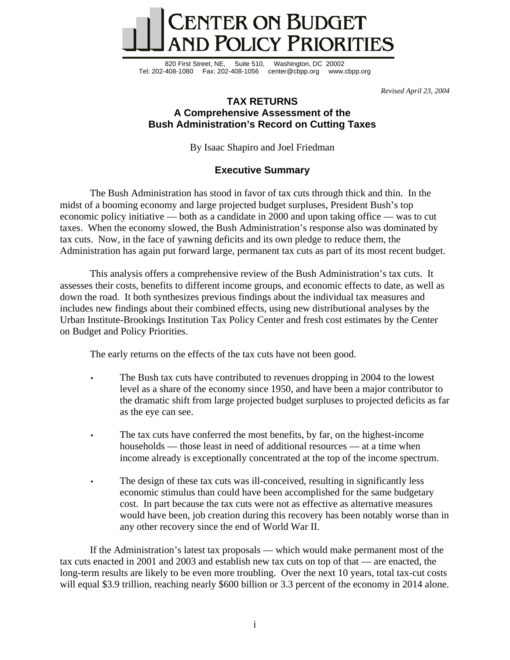

820 First Street, NE, Suite 510, Washington, DC 20002 Tel: 202-408-1080 Fax: 202-408-1056 center@cbpp.org www.cbpp.org

*Revised April 23, 2004* 

# **TAX RETURNS A Comprehensive Assessment of the Bush Administration's Record on Cutting Taxes**

By Isaac Shapiro and Joel Friedman

# **Executive Summary**

The Bush Administration has stood in favor of tax cuts through thick and thin. In the midst of a booming economy and large projected budget surpluses, President Bush's top economic policy initiative — both as a candidate in 2000 and upon taking office — was to cut taxes. When the economy slowed, the Bush Administration's response also was dominated by tax cuts. Now, in the face of yawning deficits and its own pledge to reduce them, the Administration has again put forward large, permanent tax cuts as part of its most recent budget.

This analysis offers a comprehensive review of the Bush Administration's tax cuts. It assesses their costs, benefits to different income groups, and economic effects to date, as well as down the road. It both synthesizes previous findings about the individual tax measures and includes new findings about their combined effects, using new distributional analyses by the Urban Institute-Brookings Institution Tax Policy Center and fresh cost estimates by the Center on Budget and Policy Priorities.

The early returns on the effects of the tax cuts have not been good.

- The Bush tax cuts have contributed to revenues dropping in 2004 to the lowest level as a share of the economy since 1950, and have been a major contributor to the dramatic shift from large projected budget surpluses to projected deficits as far as the eye can see.
- The tax cuts have conferred the most benefits, by far, on the highest-income households — those least in need of additional resources — at a time when income already is exceptionally concentrated at the top of the income spectrum.
- The design of these tax cuts was ill-conceived, resulting in significantly less economic stimulus than could have been accomplished for the same budgetary cost. In part because the tax cuts were not as effective as alternative measures would have been, job creation during this recovery has been notably worse than in any other recovery since the end of World War II.

If the Administration's latest tax proposals — which would make permanent most of the tax cuts enacted in 2001 and 2003 and establish new tax cuts on top of that — are enacted, the long-term results are likely to be even more troubling. Over the next 10 years, total tax-cut costs will equal \$3.9 trillion, reaching nearly \$600 billion or 3.3 percent of the economy in 2014 alone.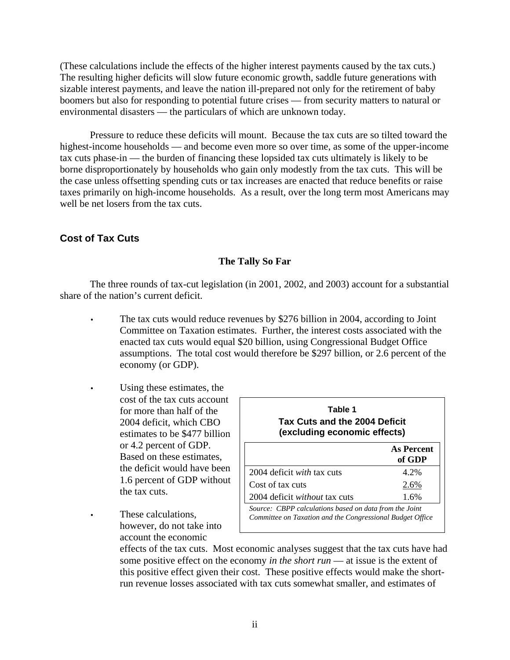(These calculations include the effects of the higher interest payments caused by the tax cuts.) The resulting higher deficits will slow future economic growth, saddle future generations with sizable interest payments, and leave the nation ill-prepared not only for the retirement of baby boomers but also for responding to potential future crises — from security matters to natural or environmental disasters — the particulars of which are unknown today.

Pressure to reduce these deficits will mount. Because the tax cuts are so tilted toward the highest-income households — and become even more so over time, as some of the upper-income tax cuts phase-in — the burden of financing these lopsided tax cuts ultimately is likely to be borne disproportionately by households who gain only modestly from the tax cuts. This will be the case unless offsetting spending cuts or tax increases are enacted that reduce benefits or raise taxes primarily on high-income households. As a result, over the long term most Americans may well be net losers from the tax cuts.

# **Cost of Tax Cuts**

# **The Tally So Far**

The three rounds of tax-cut legislation (in 2001, 2002, and 2003) account for a substantial share of the nation's current deficit.

- The tax cuts would reduce revenues by \$276 billion in 2004, according to Joint Committee on Taxation estimates. Further, the interest costs associated with the enacted tax cuts would equal \$20 billion, using Congressional Budget Office assumptions. The total cost would therefore be \$297 billion, or 2.6 percent of the economy (or GDP).
- Using these estimates, the cost of the tax cuts account for more than half of the 2004 deficit, which CBO estimates to be \$477 billion or 4.2 percent of GDP. Based on these estimates, the deficit would have been 1.6 percent of GDP without the tax cuts.
- These calculations. however, do not take into account the economic

| Table 1<br>Tax Cuts and the 2004 Deficit<br>(excluding economic effects)                                            |                      |  |
|---------------------------------------------------------------------------------------------------------------------|----------------------|--|
|                                                                                                                     | As Percent<br>of GDP |  |
| 2004 deficit <i>with</i> tax cuts                                                                                   | 4.2%                 |  |
| Cost of tax cuts                                                                                                    | 2.6%                 |  |
| 2004 deficit without tax cuts                                                                                       | 1.6%                 |  |
| Source: CBPP calculations based on data from the Joint<br>Committee on Taxation and the Congressional Budget Office |                      |  |

effects of the tax cuts. Most economic analyses suggest that the tax cuts have had some positive effect on the economy *in the short run* — at issue is the extent of this positive effect given their cost. These positive effects would make the shortrun revenue losses associated with tax cuts somewhat smaller, and estimates of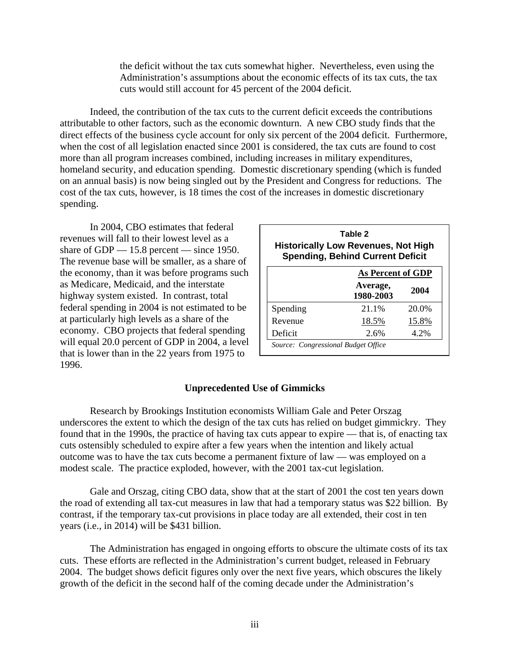the deficit without the tax cuts somewhat higher. Nevertheless, even using the Administration's assumptions about the economic effects of its tax cuts, the tax cuts would still account for 45 percent of the 2004 deficit.

Indeed, the contribution of the tax cuts to the current deficit exceeds the contributions attributable to other factors, such as the economic downturn. A new CBO study finds that the direct effects of the business cycle account for only six percent of the 2004 deficit. Furthermore, when the cost of all legislation enacted since 2001 is considered, the tax cuts are found to cost more than all program increases combined, including increases in military expenditures, homeland security, and education spending. Domestic discretionary spending (which is funded on an annual basis) is now being singled out by the President and Congress for reductions. The cost of the tax cuts, however, is 18 times the cost of the increases in domestic discretionary spending.

 In 2004, CBO estimates that federal revenues will fall to their lowest level as a share of GDP — 15.8 percent — since 1950. The revenue base will be smaller, as a share of the economy, than it was before programs such as Medicare, Medicaid, and the interstate highway system existed. In contrast, total federal spending in 2004 is not estimated to be at particularly high levels as a share of the economy. CBO projects that federal spending will equal 20.0 percent of GDP in 2004, a level that is lower than in the 22 years from 1975 to 1996.

| Table 2<br><b>Historically Low Revenues, Not High</b><br><b>Spending, Behind Current Deficit</b> |                       |       |  |  |
|--------------------------------------------------------------------------------------------------|-----------------------|-------|--|--|
|                                                                                                  | As Percent of GDP     |       |  |  |
|                                                                                                  | Average,<br>1980-2003 | 2004  |  |  |
| Spending                                                                                         | 21.1%                 | 20.0% |  |  |
| Revenue                                                                                          | 18.5%                 | 15.8% |  |  |
| Deficit                                                                                          | 2.6%                  | 4.2%  |  |  |
| Source: Congressional Budget Office                                                              |                       |       |  |  |

#### **Unprecedented Use of Gimmicks**

Research by Brookings Institution economists William Gale and Peter Orszag underscores the extent to which the design of the tax cuts has relied on budget gimmickry. They found that in the 1990s, the practice of having tax cuts appear to expire — that is, of enacting tax cuts ostensibly scheduled to expire after a few years when the intention and likely actual outcome was to have the tax cuts become a permanent fixture of law — was employed on a modest scale. The practice exploded, however, with the 2001 tax-cut legislation.

Gale and Orszag, citing CBO data, show that at the start of 2001 the cost ten years down the road of extending all tax-cut measures in law that had a temporary status was \$22 billion. By contrast, if the temporary tax-cut provisions in place today are all extended, their cost in ten years (i.e., in 2014) will be \$431 billion.

The Administration has engaged in ongoing efforts to obscure the ultimate costs of its tax cuts. These efforts are reflected in the Administration's current budget, released in February 2004. The budget shows deficit figures only over the next five years, which obscures the likely growth of the deficit in the second half of the coming decade under the Administration's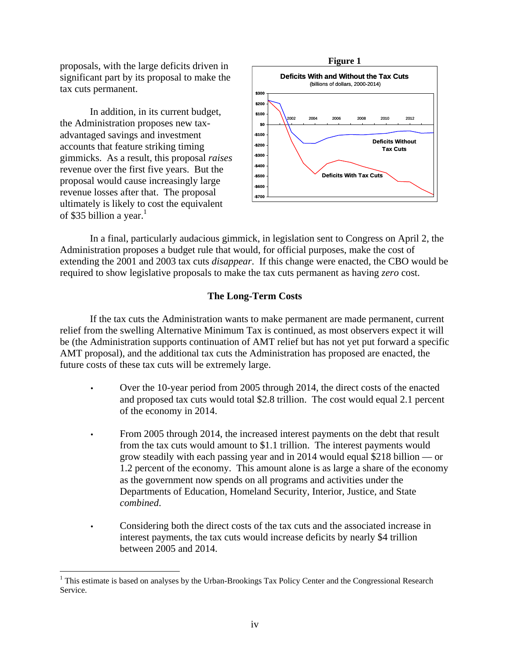proposals, with the large deficits driven in significant part by its proposal to make the tax cuts permanent.

In addition, in its current budget, the Administration proposes new taxadvantaged savings and investment accounts that feature striking timing gimmicks. As a result, this proposal *raises*  revenue over the first five years. But the proposal would cause increasingly large revenue losses after that. The proposal ultimately is likely to cost the equivalent of \$35 billion a year. $1$ 

 $\overline{a}$ 



In a final, particularly audacious gimmick, in legislation sent to Congress on April 2, the Administration proposes a budget rule that would, for official purposes, make the cost of extending the 2001 and 2003 tax cuts *disappear*. If this change were enacted, the CBO would be required to show legislative proposals to make the tax cuts permanent as having *zero* cost.

## **The Long-Term Costs**

If the tax cuts the Administration wants to make permanent are made permanent, current relief from the swelling Alternative Minimum Tax is continued, as most observers expect it will be (the Administration supports continuation of AMT relief but has not yet put forward a specific AMT proposal), and the additional tax cuts the Administration has proposed are enacted, the future costs of these tax cuts will be extremely large.

- Over the 10-year period from 2005 through 2014, the direct costs of the enacted and proposed tax cuts would total \$2.8 trillion. The cost would equal 2.1 percent of the economy in 2014.
- From 2005 through 2014, the increased interest payments on the debt that result from the tax cuts would amount to \$1.1 trillion. The interest payments would grow steadily with each passing year and in 2014 would equal \$218 billion — or 1.2 percent of the economy. This amount alone is as large a share of the economy as the government now spends on all programs and activities under the Departments of Education, Homeland Security, Interior, Justice, and State *combined*.
- Considering both the direct costs of the tax cuts and the associated increase in interest payments, the tax cuts would increase deficits by nearly \$4 trillion between 2005 and 2014.

<sup>&</sup>lt;sup>1</sup> This estimate is based on analyses by the Urban-Brookings Tax Policy Center and the Congressional Research Service.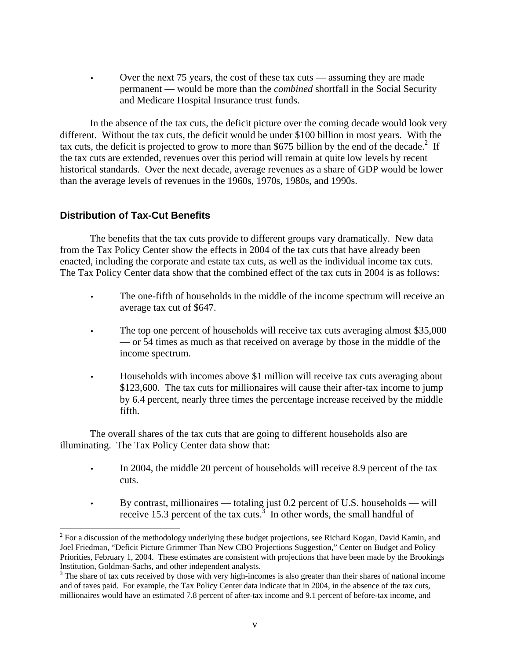• Over the next 75 years, the cost of these tax cuts — assuming they are made permanent — would be more than the *combined* shortfall in the Social Security and Medicare Hospital Insurance trust funds.

 In the absence of the tax cuts, the deficit picture over the coming decade would look very different. Without the tax cuts, the deficit would be under \$100 billion in most years. With the tax cuts, the deficit is projected to grow to more than \$675 billion by the end of the decade.<sup>2</sup> If the tax cuts are extended, revenues over this period will remain at quite low levels by recent historical standards. Over the next decade, average revenues as a share of GDP would be lower than the average levels of revenues in the 1960s, 1970s, 1980s, and 1990s.

# **Distribution of Tax-Cut Benefits**

 $\overline{a}$ 

The benefits that the tax cuts provide to different groups vary dramatically. New data from the Tax Policy Center show the effects in 2004 of the tax cuts that have already been enacted, including the corporate and estate tax cuts, as well as the individual income tax cuts. The Tax Policy Center data show that the combined effect of the tax cuts in 2004 is as follows:

- The one-fifth of households in the middle of the income spectrum will receive an average tax cut of \$647.
- The top one percent of households will receive tax cuts averaging almost \$35,000 — or 54 times as much as that received on average by those in the middle of the income spectrum.
- Households with incomes above \$1 million will receive tax cuts averaging about \$123,600. The tax cuts for millionaires will cause their after-tax income to jump by 6.4 percent, nearly three times the percentage increase received by the middle fifth.

The overall shares of the tax cuts that are going to different households also are illuminating. The Tax Policy Center data show that:

- In 2004, the middle 20 percent of households will receive 8.9 percent of the tax cuts.
- By contrast, millionaires totaling just 0.2 percent of U.S. households will receive 15.3 percent of the tax cuts.<sup>3</sup> In other words, the small handful of

 $2^2$  For a discussion of the methodology underlying these budget projections, see Richard Kogan, David Kamin, and Joel Friedman, "Deficit Picture Grimmer Than New CBO Projections Suggestion," Center on Budget and Policy Priorities, February 1, 2004. These estimates are consistent with projections that have been made by the Brookings Institution, Goldman-Sachs, and other independent analysts.

 $3$  The share of tax cuts received by those with very high-incomes is also greater than their shares of national income and of taxes paid. For example, the Tax Policy Center data indicate that in 2004, in the absence of the tax cuts, millionaires would have an estimated 7.8 percent of after-tax income and 9.1 percent of before-tax income, and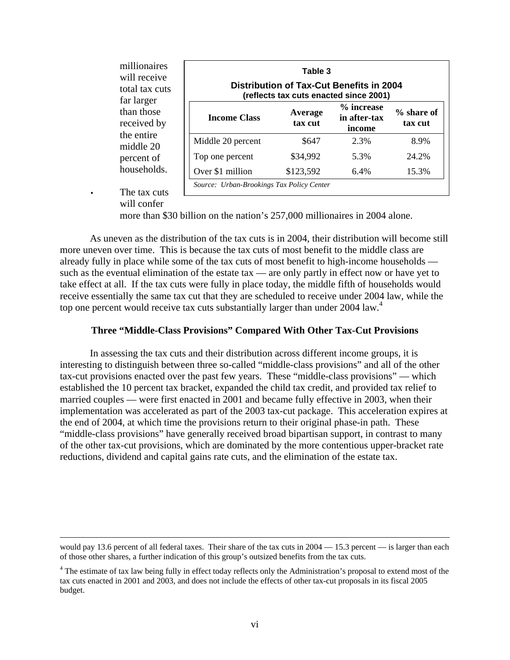| millionaires<br>will receive<br>total tax cuts | Table 3<br><b>Distribution of Tax-Cut Benefits in 2004</b><br>(reflects tax cuts enacted since 2001) |                    |                                      |                         |
|------------------------------------------------|------------------------------------------------------------------------------------------------------|--------------------|--------------------------------------|-------------------------|
| far larger<br>than those<br>received by        | <b>Income Class</b>                                                                                  | Average<br>tax cut | % increase<br>in after-tax<br>income | $%$ share of<br>tax cut |
| the entire<br>middle 20                        | Middle 20 percent                                                                                    | \$647              | 2.3%                                 | 8.9%                    |
| percent of                                     | Top one percent                                                                                      | \$34,992           | 5.3%                                 | 24.2%                   |
| households.                                    | Over \$1 million                                                                                     | \$123,592          | 6.4%                                 | 15.3%                   |
| The tay cuts                                   | Source: Urban-Brookings Tax Policy Center                                                            |                    |                                      |                         |

The tax cuts will confer

more than \$30 billion on the nation's 257,000 millionaires in 2004 alone.

 As uneven as the distribution of the tax cuts is in 2004, their distribution will become still more uneven over time. This is because the tax cuts of most benefit to the middle class are already fully in place while some of the tax cuts of most benefit to high-income households such as the eventual elimination of the estate tax — are only partly in effect now or have yet to take effect at all. If the tax cuts were fully in place today, the middle fifth of households would receive essentially the same tax cut that they are scheduled to receive under 2004 law, while the top one percent would receive tax cuts substantially larger than under 2004 law.<sup>4</sup>

### **Three "Middle-Class Provisions" Compared With Other Tax-Cut Provisions**

 In assessing the tax cuts and their distribution across different income groups, it is interesting to distinguish between three so-called "middle-class provisions" and all of the other tax-cut provisions enacted over the past few years. These "middle-class provisions" — which established the 10 percent tax bracket, expanded the child tax credit, and provided tax relief to married couples — were first enacted in 2001 and became fully effective in 2003, when their implementation was accelerated as part of the 2003 tax-cut package. This acceleration expires at the end of 2004, at which time the provisions return to their original phase-in path. These "middle-class provisions" have generally received broad bipartisan support, in contrast to many of the other tax-cut provisions, which are dominated by the more contentious upper-bracket rate reductions, dividend and capital gains rate cuts, and the elimination of the estate tax.

would pay 13.6 percent of all federal taxes. Their share of the tax cuts in  $2004 - 15.3$  percent — is larger than each of those other shares, a further indication of this group's outsized benefits from the tax cuts.

<sup>&</sup>lt;sup>4</sup> The estimate of tax law being fully in effect today reflects only the Administration's proposal to extend most of the tax cuts enacted in 2001 and 2003, and does not include the effects of other tax-cut proposals in its fiscal 2005 budget.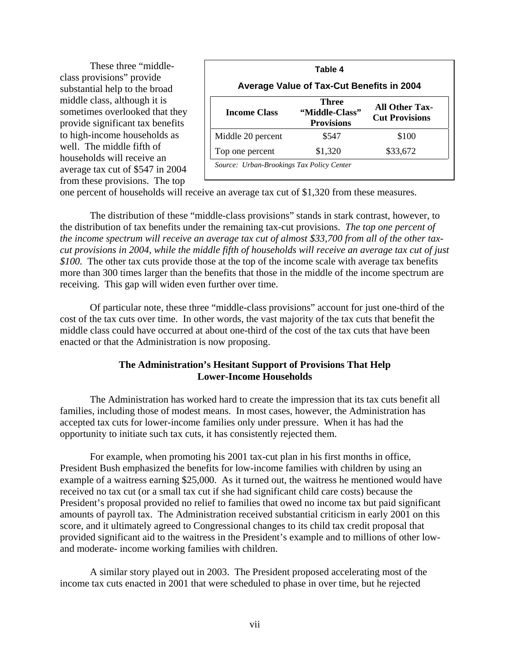These three "middleclass provisions" provide substantial help to the broad middle class, although it is sometimes overlooked that they provide significant tax benefits to high-income households as well. The middle fifth of households will receive an average tax cut of \$547 in 2004 from these provisions. The top

| Table 4                                   |                                                     |                                                |  |  |  |
|-------------------------------------------|-----------------------------------------------------|------------------------------------------------|--|--|--|
| Average Value of Tax-Cut Benefits in 2004 |                                                     |                                                |  |  |  |
| <b>Income Class</b>                       | <b>Three</b><br>"Middle-Class"<br><b>Provisions</b> | <b>All Other Tax-</b><br><b>Cut Provisions</b> |  |  |  |
| Middle 20 percent                         | \$547                                               | \$100                                          |  |  |  |
| Top one percent                           | \$1,320                                             | \$33,672                                       |  |  |  |

one percent of households will receive an average tax cut of \$1,320 from these measures.

The distribution of these "middle-class provisions" stands in stark contrast, however, to the distribution of tax benefits under the remaining tax-cut provisions. *The top one percent of the income spectrum will receive an average tax cut of almost \$33,700 from all of the other taxcut provisions in 2004, while the middle fifth of households will receive an average tax cut of just \$100.* The other tax cuts provide those at the top of the income scale with average tax benefits more than 300 times larger than the benefits that those in the middle of the income spectrum are receiving. This gap will widen even further over time.

Of particular note, these three "middle-class provisions" account for just one-third of the cost of the tax cuts over time. In other words, the vast majority of the tax cuts that benefit the middle class could have occurred at about one-third of the cost of the tax cuts that have been enacted or that the Administration is now proposing.

# **The Administration's Hesitant Support of Provisions That Help Lower-Income Households**

 The Administration has worked hard to create the impression that its tax cuts benefit all families, including those of modest means. In most cases, however, the Administration has accepted tax cuts for lower-income families only under pressure. When it has had the opportunity to initiate such tax cuts, it has consistently rejected them.

For example, when promoting his 2001 tax-cut plan in his first months in office, President Bush emphasized the benefits for low-income families with children by using an example of a waitress earning \$25,000. As it turned out, the waitress he mentioned would have received no tax cut (or a small tax cut if she had significant child care costs) because the President's proposal provided no relief to families that owed no income tax but paid significant amounts of payroll tax. The Administration received substantial criticism in early 2001 on this score, and it ultimately agreed to Congressional changes to its child tax credit proposal that provided significant aid to the waitress in the President's example and to millions of other lowand moderate- income working families with children.

A similar story played out in 2003. The President proposed accelerating most of the income tax cuts enacted in 2001 that were scheduled to phase in over time, but he rejected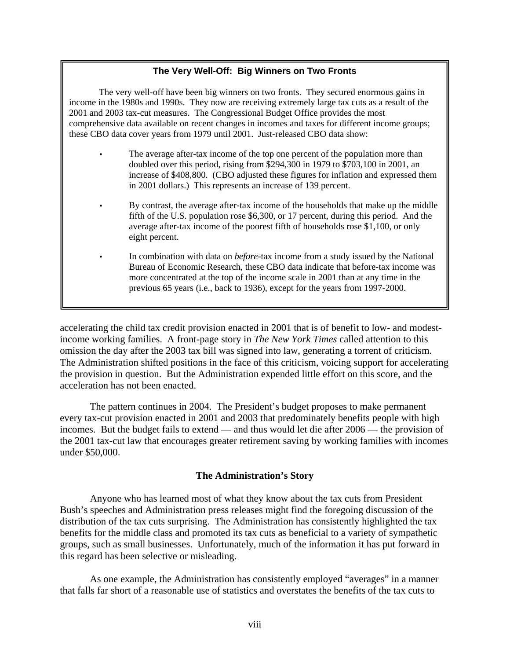# **The Very Well-Off: Big Winners on Two Fronts**

The very well-off have been big winners on two fronts. They secured enormous gains in income in the 1980s and 1990s. They now are receiving extremely large tax cuts as a result of the 2001 and 2003 tax-cut measures. The Congressional Budget Office provides the most comprehensive data available on recent changes in incomes and taxes for different income groups; these CBO data cover years from 1979 until 2001. Just-released CBO data show:

- The average after-tax income of the top one percent of the population more than doubled over this period, rising from \$294,300 in 1979 to \$703,100 in 2001, an increase of \$408,800. (CBO adjusted these figures for inflation and expressed them in 2001 dollars.) This represents an increase of 139 percent.
- By contrast, the average after-tax income of the households that make up the middle fifth of the U.S. population rose \$6,300, or 17 percent, during this period. And the average after-tax income of the poorest fifth of households rose \$1,100, or only eight percent.
- In combination with data on *before*-tax income from a study issued by the National Bureau of Economic Research, these CBO data indicate that before-tax income was more concentrated at the top of the income scale in 2001 than at any time in the previous 65 years (i.e., back to 1936), except for the years from 1997-2000.

accelerating the child tax credit provision enacted in 2001 that is of benefit to low- and modestincome working families. A front-page story in *The New York Times* called attention to this omission the day after the 2003 tax bill was signed into law, generating a torrent of criticism. The Administration shifted positions in the face of this criticism, voicing support for accelerating the provision in question. But the Administration expended little effort on this score, and the acceleration has not been enacted.

The pattern continues in 2004. The President's budget proposes to make permanent every tax-cut provision enacted in 2001 and 2003 that predominately benefits people with high incomes. But the budget fails to extend — and thus would let die after 2006 — the provision of the 2001 tax-cut law that encourages greater retirement saving by working families with incomes under \$50,000.

#### **The Administration's Story**

 Anyone who has learned most of what they know about the tax cuts from President Bush's speeches and Administration press releases might find the foregoing discussion of the distribution of the tax cuts surprising. The Administration has consistently highlighted the tax benefits for the middle class and promoted its tax cuts as beneficial to a variety of sympathetic groups, such as small businesses. Unfortunately, much of the information it has put forward in this regard has been selective or misleading.

As one example, the Administration has consistently employed "averages" in a manner that falls far short of a reasonable use of statistics and overstates the benefits of the tax cuts to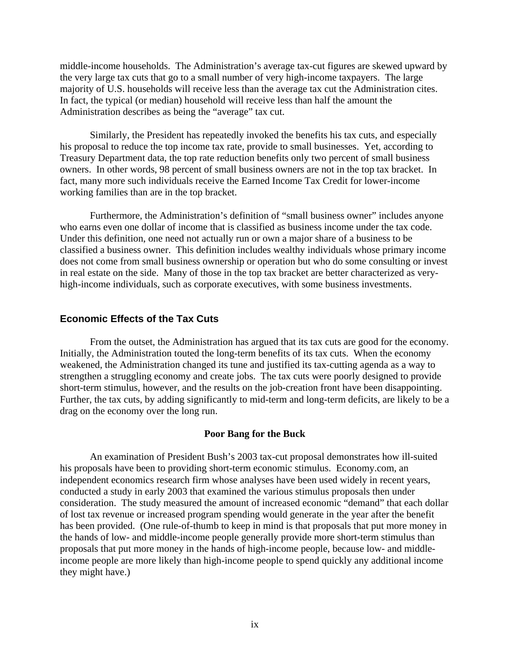middle-income households. The Administration's average tax-cut figures are skewed upward by the very large tax cuts that go to a small number of very high-income taxpayers. The large majority of U.S. households will receive less than the average tax cut the Administration cites. In fact, the typical (or median) household will receive less than half the amount the Administration describes as being the "average" tax cut.

 Similarly, the President has repeatedly invoked the benefits his tax cuts, and especially his proposal to reduce the top income tax rate, provide to small businesses. Yet, according to Treasury Department data, the top rate reduction benefits only two percent of small business owners. In other words, 98 percent of small business owners are not in the top tax bracket. In fact, many more such individuals receive the Earned Income Tax Credit for lower-income working families than are in the top bracket.

 Furthermore, the Administration's definition of "small business owner" includes anyone who earns even one dollar of income that is classified as business income under the tax code. Under this definition, one need not actually run or own a major share of a business to be classified a business owner. This definition includes wealthy individuals whose primary income does not come from small business ownership or operation but who do some consulting or invest in real estate on the side. Many of those in the top tax bracket are better characterized as veryhigh-income individuals, such as corporate executives, with some business investments.

#### **Economic Effects of the Tax Cuts**

From the outset, the Administration has argued that its tax cuts are good for the economy. Initially, the Administration touted the long-term benefits of its tax cuts. When the economy weakened, the Administration changed its tune and justified its tax-cutting agenda as a way to strengthen a struggling economy and create jobs. The tax cuts were poorly designed to provide short-term stimulus, however, and the results on the job-creation front have been disappointing. Further, the tax cuts, by adding significantly to mid-term and long-term deficits, are likely to be a drag on the economy over the long run.

#### **Poor Bang for the Buck**

 An examination of President Bush's 2003 tax-cut proposal demonstrates how ill-suited his proposals have been to providing short-term economic stimulus. Economy.com, an independent economics research firm whose analyses have been used widely in recent years, conducted a study in early 2003 that examined the various stimulus proposals then under consideration. The study measured the amount of increased economic "demand" that each dollar of lost tax revenue or increased program spending would generate in the year after the benefit has been provided. (One rule-of-thumb to keep in mind is that proposals that put more money in the hands of low- and middle-income people generally provide more short-term stimulus than proposals that put more money in the hands of high-income people, because low- and middleincome people are more likely than high-income people to spend quickly any additional income they might have.)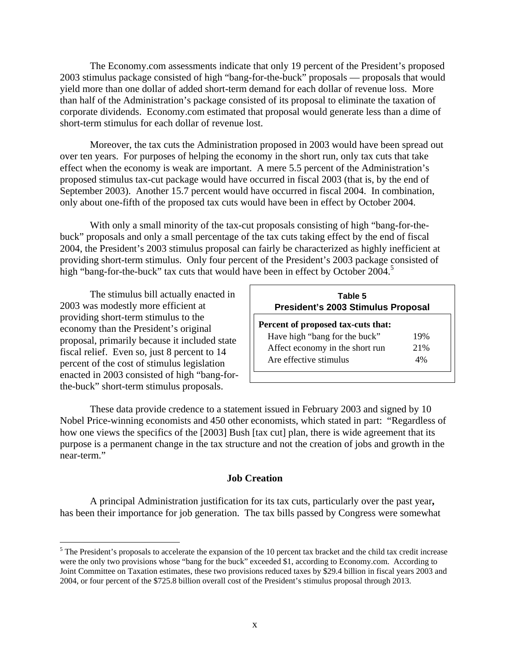The Economy.com assessments indicate that only 19 percent of the President's proposed 2003 stimulus package consisted of high "bang-for-the-buck" proposals — proposals that would yield more than one dollar of added short-term demand for each dollar of revenue loss. More than half of the Administration's package consisted of its proposal to eliminate the taxation of corporate dividends. Economy.com estimated that proposal would generate less than a dime of short-term stimulus for each dollar of revenue lost.

 Moreover, the tax cuts the Administration proposed in 2003 would have been spread out over ten years. For purposes of helping the economy in the short run, only tax cuts that take effect when the economy is weak are important. A mere 5.5 percent of the Administration's proposed stimulus tax-cut package would have occurred in fiscal 2003 (that is, by the end of September 2003). Another 15.7 percent would have occurred in fiscal 2004. In combination, only about one-fifth of the proposed tax cuts would have been in effect by October 2004.

With only a small minority of the tax-cut proposals consisting of high "bang-for-thebuck" proposals and only a small percentage of the tax cuts taking effect by the end of fiscal 2004, the President's 2003 stimulus proposal can fairly be characterized as highly inefficient at providing short-term stimulus. Only four percent of the President's 2003 package consisted of high "bang-for-the-buck" tax cuts that would have been in effect by October 2004.<sup>5</sup>

The stimulus bill actually enacted in 2003 was modestly more efficient at providing short-term stimulus to the economy than the President's original proposal, primarily because it included state fiscal relief. Even so, just 8 percent to 14 percent of the cost of stimulus legislation enacted in 2003 consisted of high "bang-forthe-buck" short-term stimulus proposals.

 $\overline{a}$ 

| Table 5<br>President's 2003 Stimulus Proposal |     |  |  |  |
|-----------------------------------------------|-----|--|--|--|
| Percent of proposed tax-cuts that:            |     |  |  |  |
| Have high "bang for the buck"                 | 19% |  |  |  |
| Affect economy in the short run               | 21% |  |  |  |
| Are effective stimulus                        | 4%  |  |  |  |
|                                               |     |  |  |  |

These data provide credence to a statement issued in February 2003 and signed by 10 Nobel Price-winning economists and 450 other economists, which stated in part: "Regardless of how one views the specifics of the [2003] Bush [tax cut] plan, there is wide agreement that its purpose is a permanent change in the tax structure and not the creation of jobs and growth in the near-term."

## **Job Creation**

A principal Administration justification for its tax cuts, particularly over the past year**,** has been their importance for job generation. The tax bills passed by Congress were somewhat

 $<sup>5</sup>$  The President's proposals to accelerate the expansion of the 10 percent tax bracket and the child tax credit increase</sup> were the only two provisions whose "bang for the buck" exceeded \$1, according to Economy.com. According to Joint Committee on Taxation estimates, these two provisions reduced taxes by \$29.4 billion in fiscal years 2003 and 2004, or four percent of the \$725.8 billion overall cost of the President's stimulus proposal through 2013.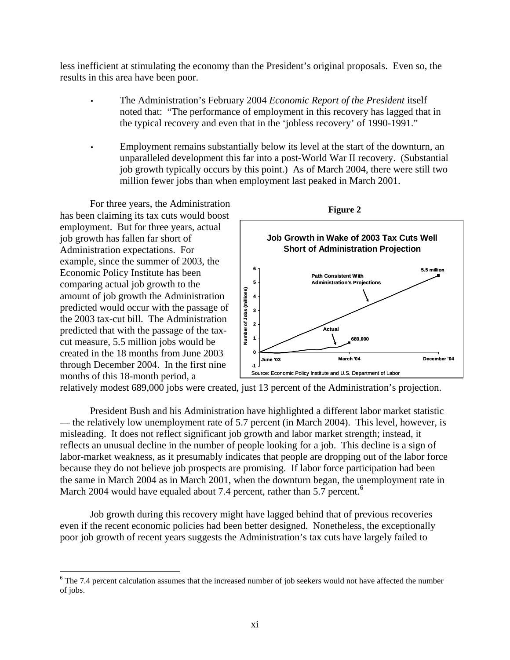less inefficient at stimulating the economy than the President's original proposals. Even so, the results in this area have been poor.

- The Administration's February 2004 *Economic Report of the President* itself noted that: "The performance of employment in this recovery has lagged that in the typical recovery and even that in the 'jobless recovery' of 1990-1991."
- Employment remains substantially below its level at the start of the downturn, an unparalleled development this far into a post-World War II recovery. (Substantial job growth typically occurs by this point.) As of March 2004, there were still two million fewer jobs than when employment last peaked in March 2001.

For three years, the Administration has been claiming its tax cuts would boost employment. But for three years, actual job growth has fallen far short of Administration expectations. For example, since the summer of 2003, the Economic Policy Institute has been comparing actual job growth to the amount of job growth the Administration predicted would occur with the passage of the 2003 tax-cut bill. The Administration predicted that with the passage of the taxcut measure, 5.5 million jobs would be created in the 18 months from June 2003 through December 2004. In the first nine months of this 18-month period, a

 $\overline{a}$ 



relatively modest 689,000 jobs were created, just 13 percent of the Administration's projection.

 President Bush and his Administration have highlighted a different labor market statistic — the relatively low unemployment rate of 5.7 percent (in March 2004). This level, however, is misleading. It does not reflect significant job growth and labor market strength; instead, it reflects an unusual decline in the number of people looking for a job. This decline is a sign of labor-market weakness, as it presumably indicates that people are dropping out of the labor force because they do not believe job prospects are promising. If labor force participation had been the same in March 2004 as in March 2001, when the downturn began, the unemployment rate in March 2004 would have equaled about 7.4 percent, rather than 5.7 percent.<sup>6</sup>

 Job growth during this recovery might have lagged behind that of previous recoveries even if the recent economic policies had been better designed. Nonetheless, the exceptionally poor job growth of recent years suggests the Administration's tax cuts have largely failed to

 $6$  The 7.4 percent calculation assumes that the increased number of job seekers would not have affected the number of jobs.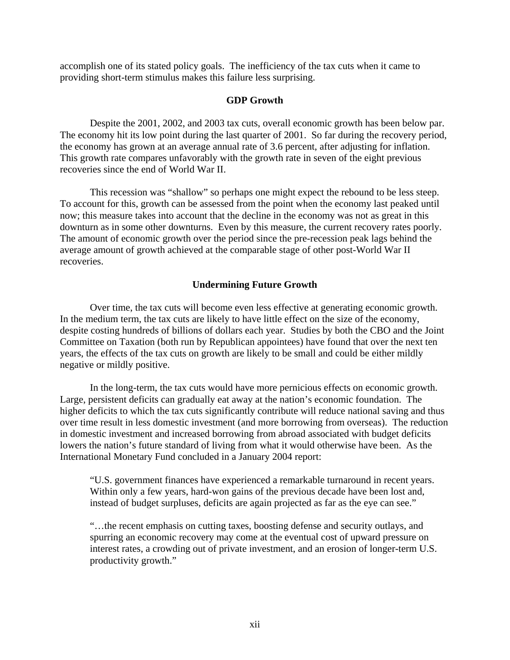accomplish one of its stated policy goals. The inefficiency of the tax cuts when it came to providing short-term stimulus makes this failure less surprising.

## **GDP Growth**

 Despite the 2001, 2002, and 2003 tax cuts, overall economic growth has been below par. The economy hit its low point during the last quarter of 2001. So far during the recovery period, the economy has grown at an average annual rate of 3.6 percent, after adjusting for inflation. This growth rate compares unfavorably with the growth rate in seven of the eight previous recoveries since the end of World War II.

 This recession was "shallow" so perhaps one might expect the rebound to be less steep. To account for this, growth can be assessed from the point when the economy last peaked until now; this measure takes into account that the decline in the economy was not as great in this downturn as in some other downturns. Even by this measure, the current recovery rates poorly. The amount of economic growth over the period since the pre-recession peak lags behind the average amount of growth achieved at the comparable stage of other post-World War II recoveries.

## **Undermining Future Growth**

Over time, the tax cuts will become even less effective at generating economic growth. In the medium term, the tax cuts are likely to have little effect on the size of the economy, despite costing hundreds of billions of dollars each year. Studies by both the CBO and the Joint Committee on Taxation (both run by Republican appointees) have found that over the next ten years, the effects of the tax cuts on growth are likely to be small and could be either mildly negative or mildly positive.

In the long-term, the tax cuts would have more pernicious effects on economic growth. Large, persistent deficits can gradually eat away at the nation's economic foundation. The higher deficits to which the tax cuts significantly contribute will reduce national saving and thus over time result in less domestic investment (and more borrowing from overseas). The reduction in domestic investment and increased borrowing from abroad associated with budget deficits lowers the nation's future standard of living from what it would otherwise have been. As the International Monetary Fund concluded in a January 2004 report:

"U.S. government finances have experienced a remarkable turnaround in recent years. Within only a few years, hard-won gains of the previous decade have been lost and, instead of budget surpluses, deficits are again projected as far as the eye can see."

"…the recent emphasis on cutting taxes, boosting defense and security outlays, and spurring an economic recovery may come at the eventual cost of upward pressure on interest rates, a crowding out of private investment, and an erosion of longer-term U.S. productivity growth."